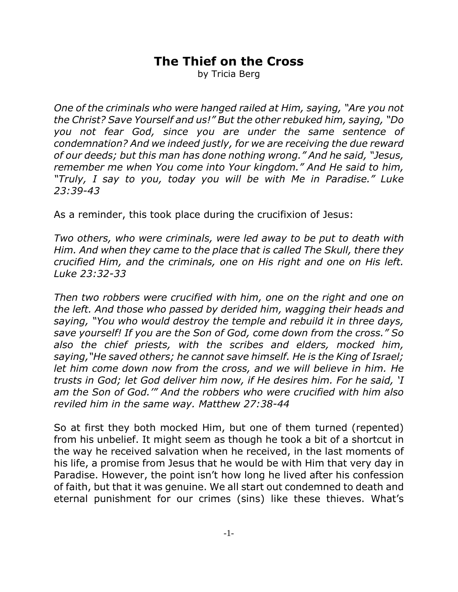## **The Thief on the Cross**

by Tricia Berg

*One of the criminals who were hanged railed at Him, saying, "Are you not the Christ? Save Yourself and us!" But the other rebuked him, saying, "Do you not fear God, since you are under the same sentence of condemnation? And we indeed justly, for we are receiving the due reward of our deeds; but this man has done nothing wrong." And he said, "Jesus, remember me when You come into Your kingdom." And He said to him, "Truly, I say to you, today you will be with Me in Paradise." Luke 23:39-43*

As a reminder, this took place during the crucifixion of Jesus:

*Two others, who were criminals, were led away to be put to death with Him. And when they came to the place that is called The Skull, there they crucified Him, and the criminals, one on His right and one on His left. Luke 23:32-33*

*Then two robbers were crucified with him, one on the right and one on the left. And those who passed by derided him, wagging their heads and saying, "You who would destroy the temple and rebuild it in three days, save yourself! If you are the Son of God, come down from the cross." So also the chief priests, with the scribes and elders, mocked him, saying,"He saved others; he cannot save himself. He is the King of Israel; let him come down now from the cross, and we will believe in him. He trusts in God; let God deliver him now, if He desires him. For he said, 'I am the Son of God.'" And the robbers who were crucified with him also reviled him in the same way. Matthew 27:38-44*

So at first they both mocked Him, but one of them turned (repented) from his unbelief. It might seem as though he took a bit of a shortcut in the way he received salvation when he received, in the last moments of his life, a promise from Jesus that he would be with Him that very day in Paradise. However, the point isn't how long he lived after his confession of faith, but that it was genuine. We all start out condemned to death and eternal punishment for our crimes (sins) like these thieves. What's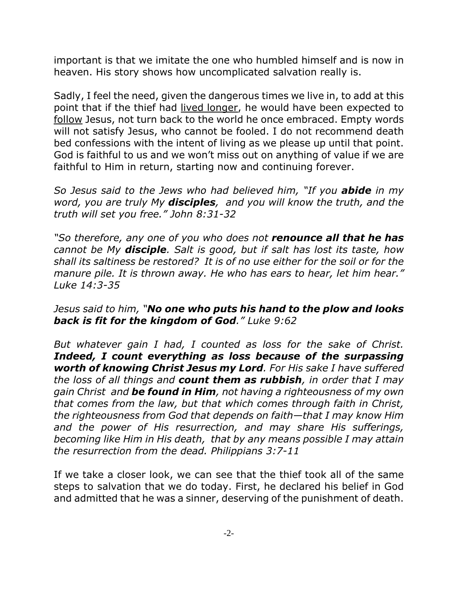important is that we imitate the one who humbled himself and is now in heaven. His story shows how uncomplicated salvation really is.

Sadly, I feel the need, given the dangerous times we live in, to add at this point that if the thief had lived longer, he would have been expected to follow Jesus, not turn back to the world he once embraced. Empty words will not satisfy Jesus, who cannot be fooled. I do not recommend death bed confessions with the intent of living as we please up until that point. God is faithful to us and we won't miss out on anything of value if we are faithful to Him in return, starting now and continuing forever.

*So Jesus said to the Jews who had believed him, "If you abide in my word, you are truly My disciples, and you will know the truth, and the truth will set you free." John 8:31-32* 

*"So therefore, any one of you who does not renounce all that he has cannot be My disciple. Salt is good, but if salt has lost its taste, how shall its saltiness be restored? It is of no use either for the soil or for the manure pile. It is thrown away. He who has ears to hear, let him hear." Luke 14:3-35*

*Jesus said to him, "No one who puts his hand to the plow and looks back is fit for the kingdom of God." Luke 9:62* 

*But whatever gain I had, I counted as loss for the sake of Christ. Indeed, I count everything as loss because of the surpassing worth of knowing Christ Jesus my Lord. For His sake I have suffered the loss of all things and count them as rubbish, in order that I may gain Christ and be found in Him, not having a righteousness of my own that comes from the law, but that which comes through faith in Christ, the righteousness from God that depends on faith—that I may know Him and the power of His resurrection, and may share His sufferings, becoming like Him in His death, that by any means possible I may attain the resurrection from the dead. Philippians 3:7-11*

If we take a closer look, we can see that the thief took all of the same steps to salvation that we do today. First, he declared his belief in God and admitted that he was a sinner, deserving of the punishment of death.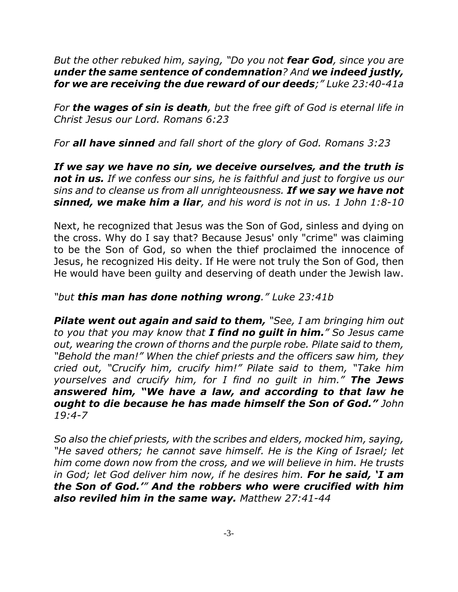*But the other rebuked him, saying, "Do you not fear God, since you are under the same sentence of condemnation? And we indeed justly, for we are receiving the due reward of our deeds;" Luke 23:40-41a*

*For the wages of sin is death, but the free gift of God is eternal life in Christ Jesus our Lord. Romans 6:23*

*For all have sinned and fall short of the glory of God. Romans 3:23*

*If we say we have no sin, we deceive ourselves, and the truth is not in us. If we confess our sins, he is faithful and just to forgive us our sins and to cleanse us from all unrighteousness. If we say we have not sinned, we make him a liar, and his word is not in us. 1 John 1:8-10*

Next, he recognized that Jesus was the Son of God, sinless and dying on the cross. Why do I say that? Because Jesus' only "crime" was claiming to be the Son of God, so when the thief proclaimed the innocence of Jesus, he recognized His deity. If He were not truly the Son of God, then He would have been guilty and deserving of death under the Jewish law.

## *"but this man has done nothing wrong." Luke 23:41b*

*Pilate went out again and said to them, "See, I am bringing him out to you that you may know that I find no guilt in him." So Jesus came out, wearing the crown of thorns and the purple robe. Pilate said to them, "Behold the man!" When the chief priests and the officers saw him, they cried out, "Crucify him, crucify him!" Pilate said to them, "Take him yourselves and crucify him, for I find no guilt in him." The Jews answered him, "We have a law, and according to that law he ought to die because he has made himself the Son of God." John 19:4-7*

*So also the chief priests, with the scribes and elders, mocked him, saying, "He saved others; he cannot save himself. He is the King of Israel; let him come down now from the cross, and we will believe in him. He trusts in God; let God deliver him now, if he desires him. For he said, 'I am the Son of God.'" And the robbers who were crucified with him also reviled him in the same way. Matthew 27:41-44*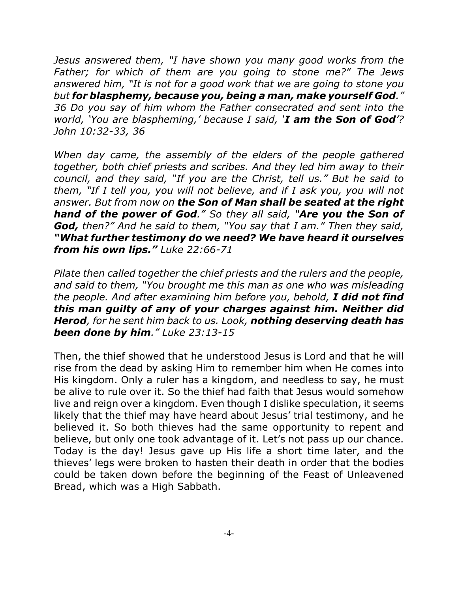*Jesus answered them, "I have shown you many good works from the Father; for which of them are you going to stone me?" The Jews answered him, "It is not for a good work that we are going to stone you but for blasphemy, because you, being a man, make yourself God." 36 Do you say of him whom the Father consecrated and sent into the world, 'You are blaspheming,' because I said, 'I am the Son of God'? John 10:32-33, 36*

*When day came, the assembly of the elders of the people gathered together, both chief priests and scribes. And they led him away to their council, and they said, "If you are the Christ, tell us." But he said to them, "If I tell you, you will not believe, and if I ask you, you will not answer. But from now on the Son of Man shall be seated at the right hand of the power of God." So they all said, "Are you the Son of God, then?" And he said to them, "You say that I am." Then they said, "What further testimony do we need? We have heard it ourselves from his own lips." Luke 22:66-71*

*Pilate then called together the chief priests and the rulers and the people, and said to them, "You brought me this man as one who was misleading the people. And after examining him before you, behold, I did not find this man guilty of any of your charges against him. Neither did Herod, for he sent him back to us. Look, nothing deserving death has been done by him." Luke 23:13-15*

Then, the thief showed that he understood Jesus is Lord and that he will rise from the dead by asking Him to remember him when He comes into His kingdom. Only a ruler has a kingdom, and needless to say, he must be alive to rule over it. So the thief had faith that Jesus would somehow live and reign over a kingdom. Even though I dislike speculation, it seems likely that the thief may have heard about Jesus' trial testimony, and he believed it. So both thieves had the same opportunity to repent and believe, but only one took advantage of it. Let's not pass up our chance. Today is the day! Jesus gave up His life a short time later, and the thieves' legs were broken to hasten their death in order that the bodies could be taken down before the beginning of the Feast of Unleavened Bread, which was a High Sabbath.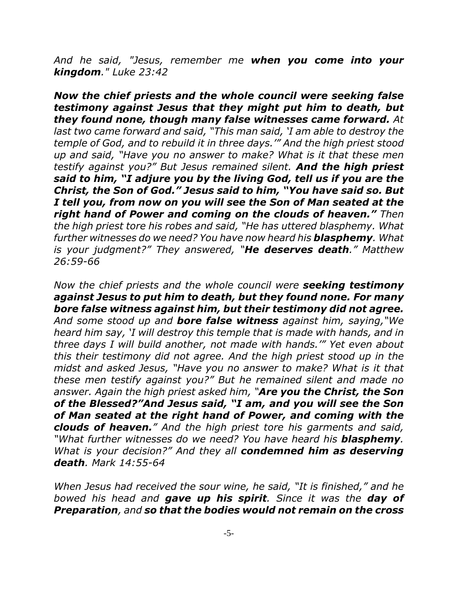*And he said, "Jesus, remember me when you come into your kingdom." Luke 23:42*

*Now the chief priests and the whole council were seeking false testimony against Jesus that they might put him to death, but they found none, though many false witnesses came forward. At last two came forward and said, "This man said, 'I am able to destroy the temple of God, and to rebuild it in three days.'" And the high priest stood up and said, "Have you no answer to make? What is it that these men testify against you?" But Jesus remained silent. And the high priest said to him, "I adjure you by the living God, tell us if you are the Christ, the Son of God." Jesus said to him, "You have said so. But I tell you, from now on you will see the Son of Man seated at the right hand of Power and coming on the clouds of heaven." Then the high priest tore his robes and said, "He has uttered blasphemy. What further witnesses do we need? You have now heard his blasphemy. What is your judgment?" They answered, "He deserves death." Matthew 26:59-66*

*Now the chief priests and the whole council were seeking testimony against Jesus to put him to death, but they found none. For many bore false witness against him, but their testimony did not agree. And some stood up and bore false witness against him, saying,"We heard him say, 'I will destroy this temple that is made with hands, and in three days I will build another, not made with hands.'" Yet even about this their testimony did not agree. And the high priest stood up in the midst and asked Jesus, "Have you no answer to make? What is it that these men testify against you?" But he remained silent and made no answer. Again the high priest asked him, "Are you the Christ, the Son of the Blessed?"And Jesus said, "I am, and you will see the Son of Man seated at the right hand of Power, and coming with the clouds of heaven." And the high priest tore his garments and said, "What further witnesses do we need? You have heard his blasphemy. What is your decision?" And they all condemned him as deserving death. Mark 14:55-64* 

*When Jesus had received the sour wine, he said, "It is finished," and he bowed his head and gave up his spirit. Since it was the day of Preparation, and so that the bodies would not remain on the cross*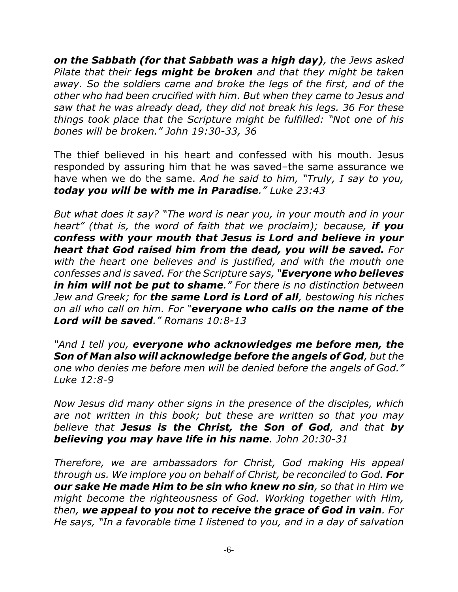*on the Sabbath (for that Sabbath was a high day), the Jews asked Pilate that their legs might be broken and that they might be taken away. So the soldiers came and broke the legs of the first, and of the other who had been crucified with him. But when they came to Jesus and saw that he was already dead, they did not break his legs. 36 For these things took place that the Scripture might be fulfilled: "Not one of his bones will be broken." John 19:30-33, 36*

The thief believed in his heart and confessed with his mouth. Jesus responded by assuring him that he was saved–the same assurance we have when we do the same. *And he said to him, "Truly, I say to you, today you will be with me in Paradise." Luke 23:43*

*But what does it say? "The word is near you, in your mouth and in your heart" (that is, the word of faith that we proclaim); because, if you confess with your mouth that Jesus is Lord and believe in your heart that God raised him from the dead, you will be saved. For with the heart one believes and is justified, and with the mouth one confesses and is saved. For the Scripture says, "Everyone who believes in him will not be put to shame." For there is no distinction between Jew and Greek; for the same Lord is Lord of all, bestowing his riches on all who call on him. For "everyone who calls on the name of the Lord will be saved." Romans 10:8-13*

*"And I tell you, everyone who acknowledges me before men, the Son of Man also will acknowledge before the angels of God, but the one who denies me before men will be denied before the angels of God." Luke 12:8-9*

*Now Jesus did many other signs in the presence of the disciples, which are not written in this book; but these are written so that you may believe that Jesus is the Christ, the Son of God, and that by believing you may have life in his name. John 20:30-31*

*Therefore, we are ambassadors for Christ, God making His appeal through us. We implore you on behalf of Christ, be reconciled to God. For our sake He made Him to be sin who knew no sin, so that in Him we might become the righteousness of God. Working together with Him, then, we appeal to you not to receive the grace of God in vain. For He says, "In a favorable time I listened to you, and in a day of salvation*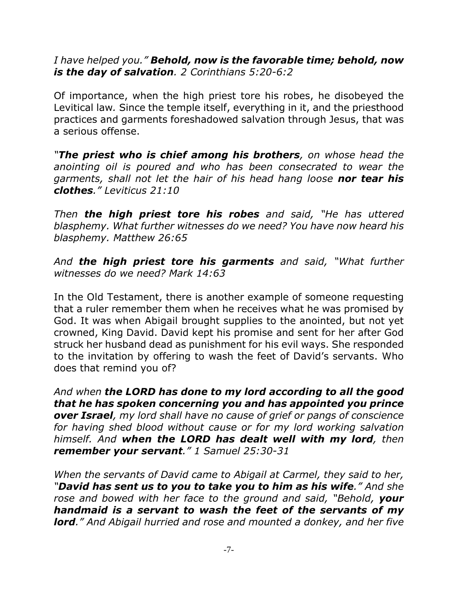*I have helped you." Behold, now is the favorable time; behold, now is the day of salvation. 2 Corinthians 5:20-6:2*

Of importance, when the high priest tore his robes, he disobeyed the Levitical law*.* Since the temple itself, everything in it, and the priesthood practices and garments foreshadowed salvation through Jesus, that was a serious offense.

*"The priest who is chief among his brothers, on whose head the anointing oil is poured and who has been consecrated to wear the garments, shall not let the hair of his head hang loose nor tear his clothes." Leviticus 21:10*

*Then the high priest tore his robes and said, "He has uttered blasphemy. What further witnesses do we need? You have now heard his blasphemy. Matthew 26:65*

*And the high priest tore his garments and said, "What further witnesses do we need? Mark 14:63*

In the Old Testament, there is another example of someone requesting that a ruler remember them when he receives what he was promised by God. It was when Abigail brought supplies to the anointed, but not yet crowned, King David. David kept his promise and sent for her after God struck her husband dead as punishment for his evil ways. She responded to the invitation by offering to wash the feet of David's servants. Who does that remind you of?

*And when the LORD has done to my lord according to all the good that he has spoken concerning you and has appointed you prince over Israel, my lord shall have no cause of grief or pangs of conscience for having shed blood without cause or for my lord working salvation himself. And when the LORD has dealt well with my lord, then remember your servant." 1 Samuel 25:30-31*

*When the servants of David came to Abigail at Carmel, they said to her, "David has sent us to you to take you to him as his wife." And she rose and bowed with her face to the ground and said, "Behold, your handmaid is a servant to wash the feet of the servants of my lord." And Abigail hurried and rose and mounted a donkey, and her five*